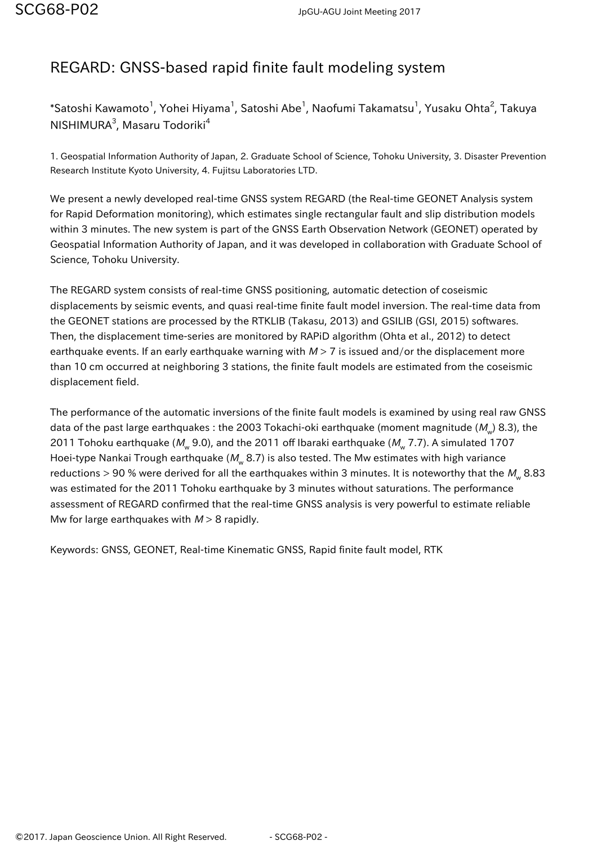## REGARD: GNSS-based rapid finite fault modeling system

 $^\ast$ Satoshi Kawamoto $^1$ , Yohei Hiyama $^1$ , Satoshi Abe $^1$ , Naofumi Takamatsu $^1$ , Yusaku Ohta $^2$ , Takuya NISHIMURA<sup>3</sup>, Masaru Todoriki<sup>4</sup>

1. Geospatial Information Authority of Japan, 2. Graduate School of Science, Tohoku University, 3. Disaster Prevention Research Institute Kyoto University, 4. Fujitsu Laboratories LTD.

We present a newly developed real-time GNSS system REGARD (the Real-time GEONET Analysis system for Rapid Deformation monitoring), which estimates single rectangular fault and slip distribution models within 3 minutes. The new system is part of the GNSS Earth Observation Network (GEONET) operated by Geospatial Information Authority of Japan, and it was developed in collaboration with Graduate School of Science, Tohoku University.

The REGARD system consists of real-time GNSS positioning, automatic detection of coseismic displacements by seismic events, and quasi real-time finite fault model inversion. The real-time data from the GEONET stations are processed by the RTKLIB (Takasu, 2013) and GSILIB (GSI, 2015) softwares. Then, the displacement time-series are monitored by RAPiD algorithm (Ohta et al., 2012) to detect earthquake events. If an early earthquake warning with  $M > 7$  is issued and/or the displacement more than 10 cm occurred at neighboring 3 stations, the finite fault models are estimated from the coseismic displacement field.

The performance of the automatic inversions of the finite fault models is examined by using real raw GNSS data of the past large earthquakes : the 2003 Tokachi-oki earthquake (moment magnitude (M<sub>w</sub>) 8.3), the 2011 Tohoku earthquake (M<sub>w</sub> 9.0), and the 2011 off Ibaraki earthquake (M<sub>w</sub> 7.7). A simulated 1707 Hoei-type Nankai Trough earthquake (M $_{\!{\rm w}}$  8.7) is also tested. The Mw estimates with high variance reductions > 90 % were derived for all the earthquakes within 3 minutes. It is noteworthy that the  $M_{_{\rm W}}$  8.83 was estimated for the 2011 Tohoku earthquake by 3 minutes without saturations. The performance assessment of REGARD confirmed that the real-time GNSS analysis is very powerful to estimate reliable Mw for large earthquakes with  $M > 8$  rapidly.

Keywords: GNSS, GEONET, Real-time Kinematic GNSS, Rapid finite fault model, RTK